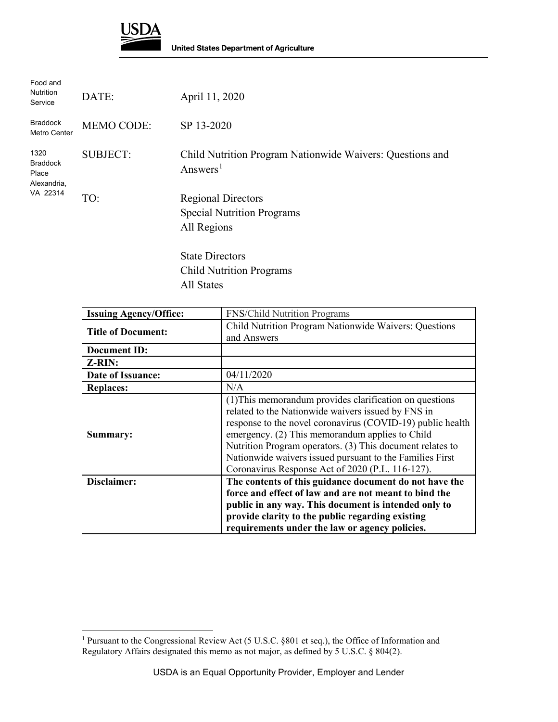

| Food and<br><b>Nutrition</b><br>Service                     | DATE:             | April 11, 2020                                                                    |
|-------------------------------------------------------------|-------------------|-----------------------------------------------------------------------------------|
| <b>Braddock</b><br>Metro Center                             | <b>MEMO CODE:</b> | SP 13-2020                                                                        |
| 1320<br><b>Braddock</b><br>Place<br>Alexandria,<br>VA 22314 | <b>SUBJECT:</b>   | Child Nutrition Program Nationwide Waivers: Questions and<br>Answers <sup>1</sup> |
|                                                             | TO:               | <b>Regional Directors</b><br><b>Special Nutrition Programs</b><br>All Regions     |
|                                                             |                   | <b>State Directors</b><br><b>Child Nutrition Programs</b>                         |

All States

| <b>Issuing Agency/Office:</b> | <b>FNS/Child Nutrition Programs</b>                                                                                                                                                                                                                                                                                                                                                                         |
|-------------------------------|-------------------------------------------------------------------------------------------------------------------------------------------------------------------------------------------------------------------------------------------------------------------------------------------------------------------------------------------------------------------------------------------------------------|
| <b>Title of Document:</b>     | Child Nutrition Program Nationwide Waivers: Questions<br>and Answers                                                                                                                                                                                                                                                                                                                                        |
| <b>Document ID:</b>           |                                                                                                                                                                                                                                                                                                                                                                                                             |
| Z-RIN:                        |                                                                                                                                                                                                                                                                                                                                                                                                             |
| Date of Issuance:             | 04/11/2020                                                                                                                                                                                                                                                                                                                                                                                                  |
| <b>Replaces:</b>              | N/A                                                                                                                                                                                                                                                                                                                                                                                                         |
| Summary:                      | (1) This memorandum provides clarification on questions<br>related to the Nationwide waivers issued by FNS in<br>response to the novel coronavirus (COVID-19) public health<br>emergency. (2) This memorandum applies to Child<br>Nutrition Program operators. (3) This document relates to<br>Nationwide waivers issued pursuant to the Families First<br>Coronavirus Response Act of 2020 (P.L. 116-127). |
| Disclaimer:                   | The contents of this guidance document do not have the<br>force and effect of law and are not meant to bind the<br>public in any way. This document is intended only to<br>provide clarity to the public regarding existing<br>requirements under the law or agency policies.                                                                                                                               |

<span id="page-0-0"></span> $\overline{a}$ <sup>1</sup> Pursuant to the Congressional Review Act (5 U.S.C. §801 et seq.), the Office of Information and Regulatory Affairs designated this memo as not major, as defined by 5 U.S.C. § 804(2).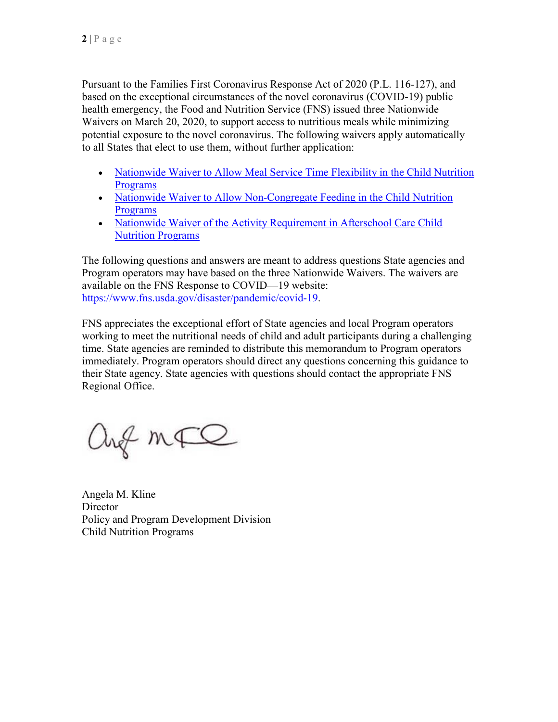Pursuant to the Families First Coronavirus Response Act of 2020 (P.L. 116-127), and based on the exceptional circumstances of the novel coronavirus (COVID-19) public health emergency, the Food and Nutrition Service (FNS) issued three Nationwide Waivers on March 20, 2020, to support access to nutritious meals while minimizing potential exposure to the novel coronavirus. The following waivers apply automatically to all States that elect to use them, without further application:

- Nationwide Waiver to Allow Meal Service Time Flexibility in the Child Nutrition [Programs](https://gcc02.safelinks.protection.outlook.com/?url=https%3A%2F%2Fpartnerweb.usda.gov%2Fsites%2FCNP%2Fcndpolicy2%2FProgramsLibrary2014%2FCOVID19%2520Meal%2520Times%2520Nationwide%2520Waiver.pdf&data=02%7C01%7C%7C769e156262e946edd39f08d7cd46a429%7Ced5b36e701ee4ebc867ee03cfa0d4697%7C0%7C1%7C637203575607319762&sdata=MFkmsA%2F%2FDr8qFZWXtV6%2BgFI2ha4izxTFcJRVjwe2Ej4%3D&reserved=0)
- Nationwide Waiver to Allow Non-Congregate Feeding in the Child Nutrition [Programs](https://gcc02.safelinks.protection.outlook.com/?url=https%3A%2F%2Fpartnerweb.usda.gov%2Fsites%2FCNP%2Fcndpolicy2%2FProgramsLibrary2014%2FCOVID19%2520NonCongregate%2520Nationwide%2520Waiver.pdf&data=02%7C01%7C%7C769e156262e946edd39f08d7cd46a429%7Ced5b36e701ee4ebc867ee03cfa0d4697%7C0%7C1%7C637203575607319762&sdata=HJ4rEdXrz173AGE3i%2Bx6S1uBjlf8ueXZD%2BlRG97H7sk%3D&reserved=0)
- Nationwide Waiver of the Activity Requirement in Afterschool Care Child [Nutrition Programs](https://gcc02.safelinks.protection.outlook.com/?url=https%3A%2F%2Fpartnerweb.usda.gov%2Fsites%2FCNP%2Fcndpolicy2%2FProgramsLibrary2014%2FCOVID19%2520Afterschool%2520Activity%2520Nationwide%2520Waiver.pdf&data=02%7C01%7C%7C769e156262e946edd39f08d7cd46a429%7Ced5b36e701ee4ebc867ee03cfa0d4697%7C0%7C1%7C637203575607329720&sdata=V%2B8PxNsSfUuWFmBV45eWRmFDoL4iao03xxptjepDs5E%3D&reserved=0)

The following questions and answers are meant to address questions State agencies and Program operators may have based on the three Nationwide Waivers. The waivers are available on the FNS Response to COVID—19 website: [https://www.fns.usda.gov/disaster/pandemic/covid-19.](https://gcc02.safelinks.protection.outlook.com/?url=https%3A%2F%2Fwww.fns.usda.gov%2Fdisaster%2Fpandemic%2Fcovid-19&data=02%7C01%7C%7C769e156262e946edd39f08d7cd46a429%7Ced5b36e701ee4ebc867ee03cfa0d4697%7C0%7C1%7C637203575607329720&sdata=0ZQACic2eXuo0y6X5iB1tndyg%2BAZ3BMu%2F9BXh3psEHk%3D&reserved=0)

FNS appreciates the exceptional effort of State agencies and local Program operators working to meet the nutritional needs of child and adult participants during a challenging time. State agencies are reminded to distribute this memorandum to Program operators immediately. Program operators should direct any questions concerning this guidance to their State agency. State agencies with questions should contact the appropriate FNS Regional Office.

ang mão

Angela M. Kline **Director** Policy and Program Development Division Child Nutrition Programs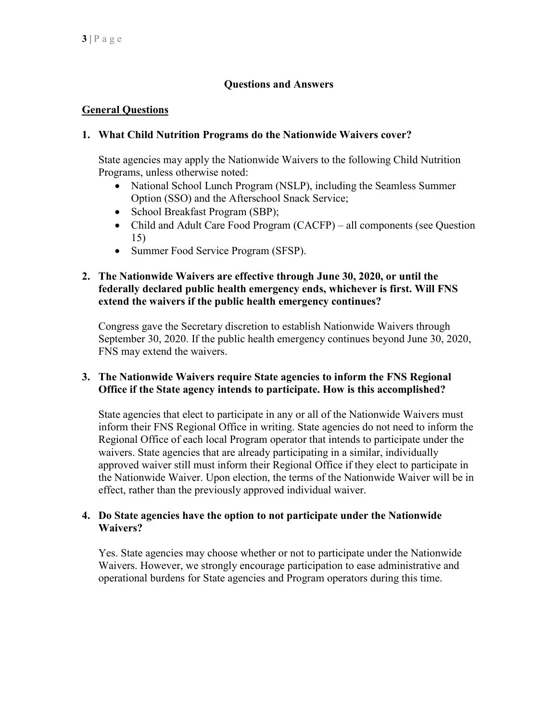# **Questions and Answers**

# **General Questions**

### **1. What Child Nutrition Programs do the Nationwide Waivers cover?**

State agencies may apply the Nationwide Waivers to the following Child Nutrition Programs, unless otherwise noted:

- National School Lunch Program (NSLP), including the Seamless Summer Option (SSO) and the Afterschool Snack Service;
- School Breakfast Program (SBP);
- Child and Adult Care Food Program (CACFP) all components (see Question 15)
- Summer Food Service Program (SFSP).

### **2. The Nationwide Waivers are effective through June 30, 2020, or until the federally declared public health emergency ends, whichever is first. Will FNS extend the waivers if the public health emergency continues?**

Congress gave the Secretary discretion to establish Nationwide Waivers through September 30, 2020. If the public health emergency continues beyond June 30, 2020, FNS may extend the waivers.

### **3. The Nationwide Waivers require State agencies to inform the FNS Regional Office if the State agency intends to participate. How is this accomplished?**

State agencies that elect to participate in any or all of the Nationwide Waivers must inform their FNS Regional Office in writing. State agencies do not need to inform the Regional Office of each local Program operator that intends to participate under the waivers. State agencies that are already participating in a similar, individually approved waiver still must inform their Regional Office if they elect to participate in the Nationwide Waiver. Upon election, the terms of the Nationwide Waiver will be in effect, rather than the previously approved individual waiver.

### **4. Do State agencies have the option to not participate under the Nationwide Waivers?**

Yes. State agencies may choose whether or not to participate under the Nationwide Waivers. However, we strongly encourage participation to ease administrative and operational burdens for State agencies and Program operators during this time.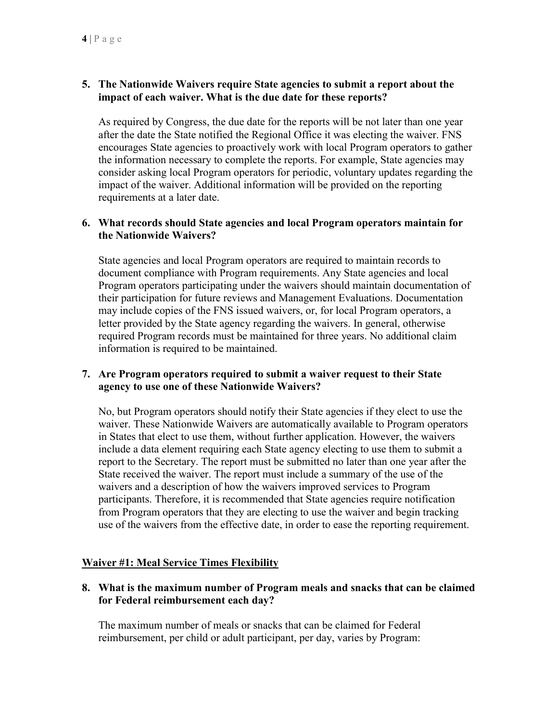# **5. The Nationwide Waivers require State agencies to submit a report about the impact of each waiver. What is the due date for these reports?**

As required by Congress, the due date for the reports will be not later than one year after the date the State notified the Regional Office it was electing the waiver. FNS encourages State agencies to proactively work with local Program operators to gather the information necessary to complete the reports. For example, State agencies may consider asking local Program operators for periodic, voluntary updates regarding the impact of the waiver. Additional information will be provided on the reporting requirements at a later date.

### **6. What records should State agencies and local Program operators maintain for the Nationwide Waivers?**

State agencies and local Program operators are required to maintain records to document compliance with Program requirements. Any State agencies and local Program operators participating under the waivers should maintain documentation of their participation for future reviews and Management Evaluations. Documentation may include copies of the FNS issued waivers, or, for local Program operators, a letter provided by the State agency regarding the waivers. In general, otherwise required Program records must be maintained for three years. No additional claim information is required to be maintained.

### **7. Are Program operators required to submit a waiver request to their State agency to use one of these Nationwide Waivers?**

No, but Program operators should notify their State agencies if they elect to use the waiver. These Nationwide Waivers are automatically available to Program operators in States that elect to use them, without further application. However, the waivers include a data element requiring each State agency electing to use them to submit a report to the Secretary. The report must be submitted no later than one year after the State received the waiver. The report must include a summary of the use of the waivers and a description of how the waivers improved services to Program participants. Therefore, it is recommended that State agencies require notification from Program operators that they are electing to use the waiver and begin tracking use of the waivers from the effective date, in order to ease the reporting requirement.

# **Waiver #1: Meal Service Times Flexibility**

**8. What is the maximum number of Program meals and snacks that can be claimed for Federal reimbursement each day?**

The maximum number of meals or snacks that can be claimed for Federal reimbursement, per child or adult participant, per day, varies by Program: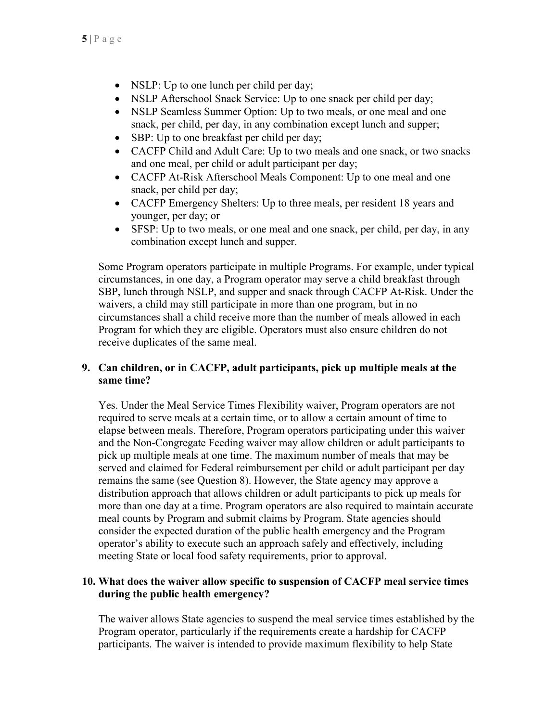- NSLP: Up to one lunch per child per day;
- NSLP Afterschool Snack Service: Up to one snack per child per day;
- NSLP Seamless Summer Option: Up to two meals, or one meal and one snack, per child, per day, in any combination except lunch and supper;
- SBP: Up to one breakfast per child per day;
- CACFP Child and Adult Care: Up to two meals and one snack, or two snacks and one meal, per child or adult participant per day;
- CACFP At-Risk Afterschool Meals Component: Up to one meal and one snack, per child per day;
- CACFP Emergency Shelters: Up to three meals, per resident 18 years and younger, per day; or
- SFSP: Up to two meals, or one meal and one snack, per child, per day, in any combination except lunch and supper.

Some Program operators participate in multiple Programs. For example, under typical circumstances, in one day, a Program operator may serve a child breakfast through SBP, lunch through NSLP, and supper and snack through CACFP At-Risk. Under the waivers, a child may still participate in more than one program, but in no circumstances shall a child receive more than the number of meals allowed in each Program for which they are eligible. Operators must also ensure children do not receive duplicates of the same meal.

# **9. Can children, or in CACFP, adult participants, pick up multiple meals at the same time?**

Yes. Under the Meal Service Times Flexibility waiver, Program operators are not required to serve meals at a certain time, or to allow a certain amount of time to elapse between meals. Therefore, Program operators participating under this waiver and the Non-Congregate Feeding waiver may allow children or adult participants to pick up multiple meals at one time. The maximum number of meals that may be served and claimed for Federal reimbursement per child or adult participant per day remains the same (see Question 8). However, the State agency may approve a distribution approach that allows children or adult participants to pick up meals for more than one day at a time. Program operators are also required to maintain accurate meal counts by Program and submit claims by Program. State agencies should consider the expected duration of the public health emergency and the Program operator's ability to execute such an approach safely and effectively, including meeting State or local food safety requirements, prior to approval.

# **10. What does the waiver allow specific to suspension of CACFP meal service times during the public health emergency?**

The waiver allows State agencies to suspend the meal service times established by the Program operator, particularly if the requirements create a hardship for CACFP participants. The waiver is intended to provide maximum flexibility to help State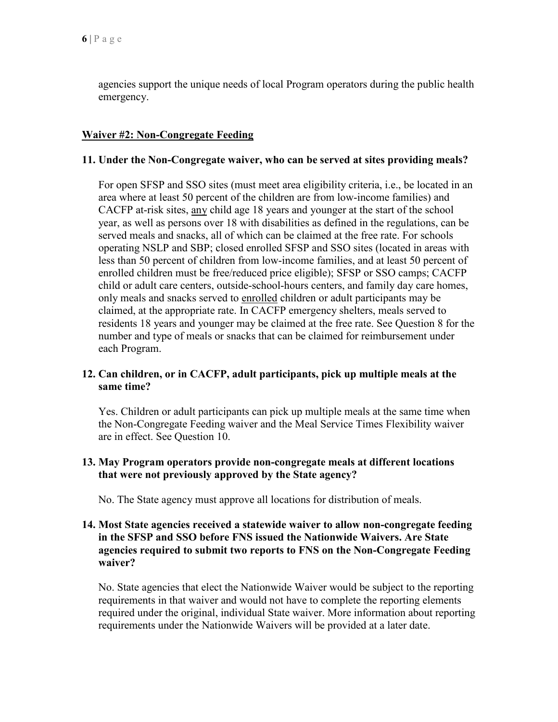agencies support the unique needs of local Program operators during the public health emergency.

# **Waiver #2: Non-Congregate Feeding**

#### **11. Under the Non-Congregate waiver, who can be served at sites providing meals?**

For open SFSP and SSO sites (must meet area eligibility criteria, i.e., be located in an area where at least 50 percent of the children are from low-income families) and CACFP at-risk sites, any child age 18 years and younger at the start of the school year, as well as persons over 18 with disabilities as defined in the regulations, can be served meals and snacks, all of which can be claimed at the free rate. For schools operating NSLP and SBP; closed enrolled SFSP and SSO sites (located in areas with less than 50 percent of children from low-income families, and at least 50 percent of enrolled children must be free/reduced price eligible); SFSP or SSO camps; CACFP child or adult care centers, outside-school-hours centers, and family day care homes, only meals and snacks served to enrolled children or adult participants may be claimed, at the appropriate rate. In CACFP emergency shelters, meals served to residents 18 years and younger may be claimed at the free rate. See Question 8 for the number and type of meals or snacks that can be claimed for reimbursement under each Program.

### **12. Can children, or in CACFP, adult participants, pick up multiple meals at the same time?**

Yes. Children or adult participants can pick up multiple meals at the same time when the Non-Congregate Feeding waiver and the Meal Service Times Flexibility waiver are in effect. See Question 10.

### **13. May Program operators provide non-congregate meals at different locations that were not previously approved by the State agency?**

No. The State agency must approve all locations for distribution of meals.

### **14. Most State agencies received a statewide waiver to allow non-congregate feeding in the SFSP and SSO before FNS issued the Nationwide Waivers. Are State agencies required to submit two reports to FNS on the Non-Congregate Feeding waiver?**

No. State agencies that elect the Nationwide Waiver would be subject to the reporting requirements in that waiver and would not have to complete the reporting elements required under the original, individual State waiver. More information about reporting requirements under the Nationwide Waivers will be provided at a later date.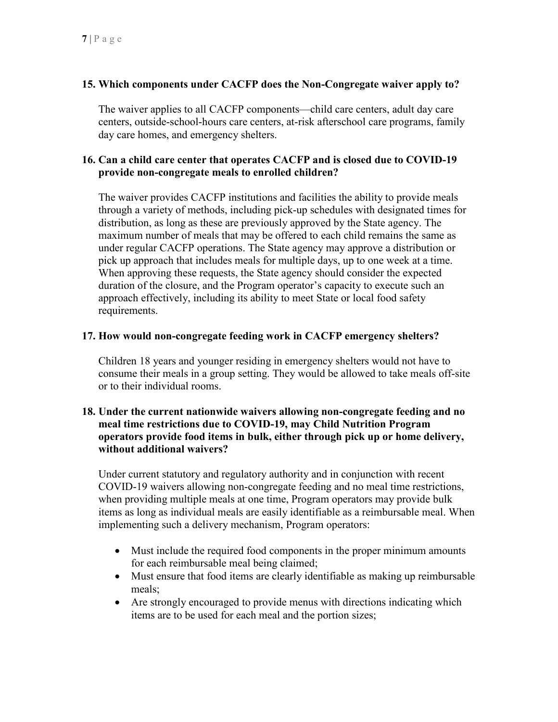# **15. Which components under CACFP does the Non-Congregate waiver apply to?**

The waiver applies to all CACFP components—child care centers, adult day care centers, outside-school-hours care centers, at-risk afterschool care programs, family day care homes, and emergency shelters.

# **16. Can a child care center that operates CACFP and is closed due to COVID-19 provide non-congregate meals to enrolled children?**

The waiver provides CACFP institutions and facilities the ability to provide meals through a variety of methods, including pick-up schedules with designated times for distribution, as long as these are previously approved by the State agency. The maximum number of meals that may be offered to each child remains the same as under regular CACFP operations. The State agency may approve a distribution or pick up approach that includes meals for multiple days, up to one week at a time. When approving these requests, the State agency should consider the expected duration of the closure, and the Program operator's capacity to execute such an approach effectively, including its ability to meet State or local food safety requirements.

### **17. How would non-congregate feeding work in CACFP emergency shelters?**

Children 18 years and younger residing in emergency shelters would not have to consume their meals in a group setting. They would be allowed to take meals off-site or to their individual rooms.

### **18. Under the current nationwide waivers allowing non-congregate feeding and no meal time restrictions due to COVID-19, may Child Nutrition Program operators provide food items in bulk, either through pick up or home delivery, without additional waivers?**

Under current statutory and regulatory authority and in conjunction with recent COVID-19 waivers allowing non-congregate feeding and no meal time restrictions, when providing multiple meals at one time, Program operators may provide bulk items as long as individual meals are easily identifiable as a reimbursable meal. When implementing such a delivery mechanism, Program operators:

- Must include the required food components in the proper minimum amounts for each reimbursable meal being claimed;
- Must ensure that food items are clearly identifiable as making up reimbursable meals;
- Are strongly encouraged to provide menus with directions indicating which items are to be used for each meal and the portion sizes;